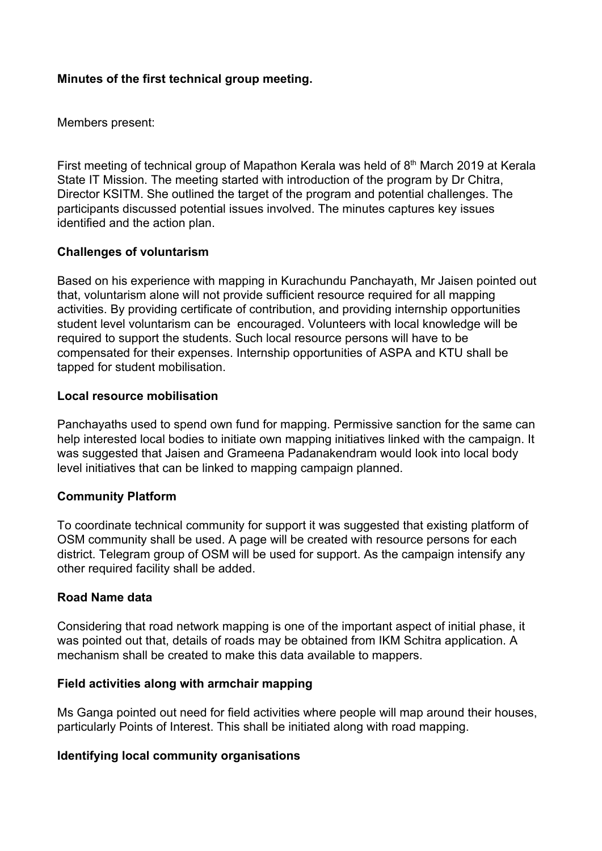## **Minutes of the first technical group meeting.**

Members present:

First meeting of technical group of Mapathon Kerala was held of  $8<sup>th</sup>$  March 2019 at Kerala State IT Mission. The meeting started with introduction of the program by Dr Chitra, Director KSITM. She outlined the target of the program and potential challenges. The participants discussed potential issues involved. The minutes captures key issues identified and the action plan.

## **Challenges of voluntarism**

Based on his experience with mapping in Kurachundu Panchayath, Mr Jaisen pointed out that, voluntarism alone will not provide sufficient resource required for all mapping activities. By providing certificate of contribution, and providing internship opportunities student level voluntarism can be encouraged. Volunteers with local knowledge will be required to support the students. Such local resource persons will have to be compensated for their expenses. Internship opportunities of ASPA and KTU shall be tapped for student mobilisation.

### **Local resource mobilisation**

Panchayaths used to spend own fund for mapping. Permissive sanction for the same can help interested local bodies to initiate own mapping initiatives linked with the campaign. It was suggested that Jaisen and Grameena Padanakendram would look into local body level initiatives that can be linked to mapping campaign planned.

### **Community Platform**

To coordinate technical community for support it was suggested that existing platform of OSM community shall be used. A page will be created with resource persons for each district. Telegram group of OSM will be used for support. As the campaign intensify any other required facility shall be added.

### **Road Name data**

Considering that road network mapping is one of the important aspect of initial phase, it was pointed out that, details of roads may be obtained from IKM Schitra application. A mechanism shall be created to make this data available to mappers.

#### **Field activities along with armchair mapping**

Ms Ganga pointed out need for field activities where people will map around their houses, particularly Points of Interest. This shall be initiated along with road mapping.

### **Identifying local community organisations**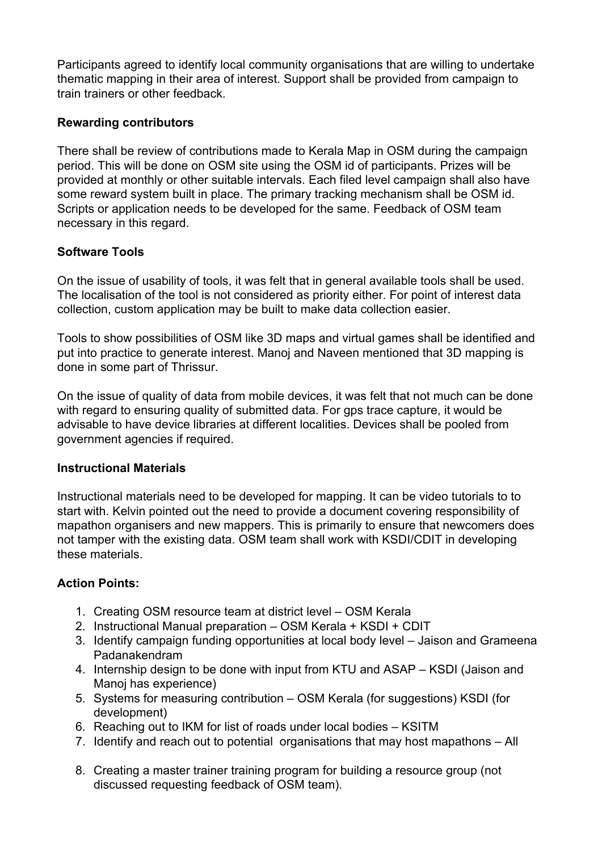Participants agreed to identify local community organisations that are willing to undertake thematic mapping in their area of interest. Support shall be provided from campaign to train trainers or other feedback.

# **Rewarding contributors**

There shall be review of contributions made to Kerala Map in OSM during the campaign period. This will be done on OSM site using the OSM id of participants. Prizes will be provided at monthly or other suitable intervals. Each filed level campaign shall also have some reward system built in place. The primary tracking mechanism shall be OSM id. Scripts or application needs to be developed for the same. Feedback of OSM team necessary in this regard.

# **Software Tools**

On the issue of usability of tools, it was felt that in general available tools shall be used. The localisation of the tool is not considered as priority either. For point of interest data collection, custom application may be built to make data collection easier.

Tools to show possibilities of OSM like 3D maps and virtual games shall be identified and put into practice to generate interest. Manoj and Naveen mentioned that 3D mapping is done in some part of Thrissur.

On the issue of quality of data from mobile devices, it was felt that not much can be done with regard to ensuring quality of submitted data. For gps trace capture, it would be advisable to have device libraries at different localities. Devices shall be pooled from government agencies if required.

# **Instructional Materials**

Instructional materials need to be developed for mapping. It can be video tutorials to to start with. Kelvin pointed out the need to provide a document covering responsibility of mapathon organisers and new mappers. This is primarily to ensure that newcomers does not tamper with the existing data. OSM team shall work with KSDI/CDIT in developing these materials.

# **Action Points:**

- 1. Creating OSM resource team at district level OSM Kerala
- 2. Instructional Manual preparation OSM Kerala + KSDI + CDIT
- 3. Identify campaign funding opportunities at local body level Jaison and Grameena Padanakendram
- 4. Internship design to be done with input from KTU and ASAP KSDI (Jaison and Manoj has experience)
- 5. Systems for measuring contribution OSM Kerala (for suggestions) KSDI (for development)
- 6. Reaching out to IKM for list of roads under local bodies KSITM
- 7. Identify and reach out to potential organisations that may host mapathons All
- 8. Creating a master trainer training program for building a resource group (not discussed requesting feedback of OSM team).